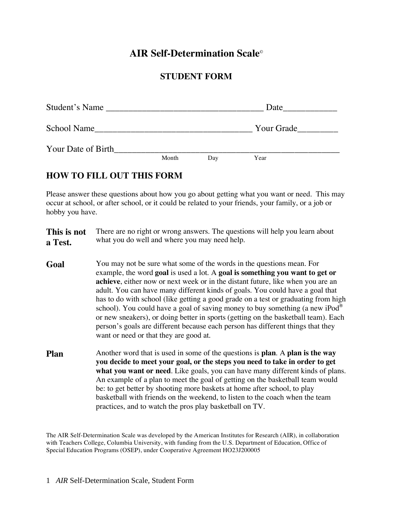### **AIR Self-Determination Scale**

### **STUDENT FORM**

| Student's Name     |       |     | Date       |  |
|--------------------|-------|-----|------------|--|
| School Name        |       |     | Your Grade |  |
| Your Date of Birth |       |     |            |  |
|                    | Month | Day | Year       |  |

### **HOW TO FILL OUT THIS FORM**

Please answer these questions about how you go about getting what you want or need. This may occur at school, or after school, or it could be related to your friends, your family, or a job or hobby you have.

**This is not a Test.**  There are no right or wrong answers. The questions will help you learn about what you do well and where you may need help.

- **Goal** You may not be sure what some of the words in the questions mean. For example, the word **goal** is used a lot. A **goal is something you want to get or achieve**, either now or next week or in the distant future, like when you are an adult. You can have many different kinds of goals. You could have a goal that has to do with school (like getting a good grade on a test or graduating from high school). You could have a goal of saving money to buy something (a new iPod $^{\circ}$ or new sneakers), or doing better in sports (getting on the basketball team). Each person's goals are different because each person has different things that they want or need or that they are good at.
- **Plan** Another word that is used in some of the questions is **plan**. A **plan is the way you decide to meet your goal, or the steps you need to take in order to get what you want or need**. Like goals, you can have many different kinds of plans. An example of a plan to meet the goal of getting on the basketball team would be: to get better by shooting more baskets at home after school, to play basketball with friends on the weekend, to listen to the coach when the team practices, and to watch the pros play basketball on TV.

The AIR Self-Determination Scale was developed by the American Institutes for Research (AIR), in collaboration with Teachers College, Columbia University, with funding from the U.S. Department of Education, Office of Special Education Programs (OSEP), under Cooperative Agreement HO23J200005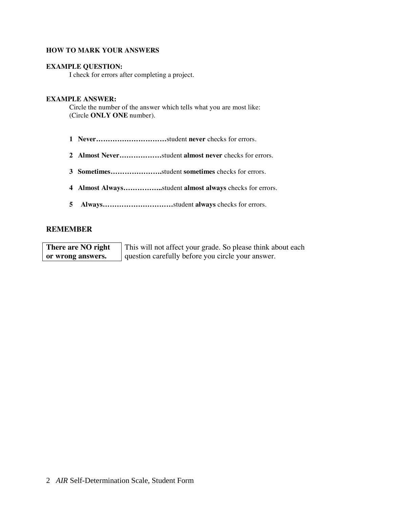#### **HOW TO MARK YOUR ANSWERS**

#### **EXAMPLE QUESTION:**

I check for errors after completing a project.

#### **EXAMPLE ANSWER:**

Circle the number of the answer which tells what you are most like: (Circle **ONLY ONE** number).

- **1 Never…………………………**student **never** checks for errors.
- **2 Almost Never………………**student **almost never** checks for errors.
- **3 Sometimes………………….**student **sometimes** checks for errors.
- **4 Almost Always……………..**student **almost always** checks for errors.
- **5 Always…………………………**student **always** checks for errors.

#### **REMEMBER**

**There are NO right or wrong answers.**  This will not affect your grade. So please think about each question carefully before you circle your answer.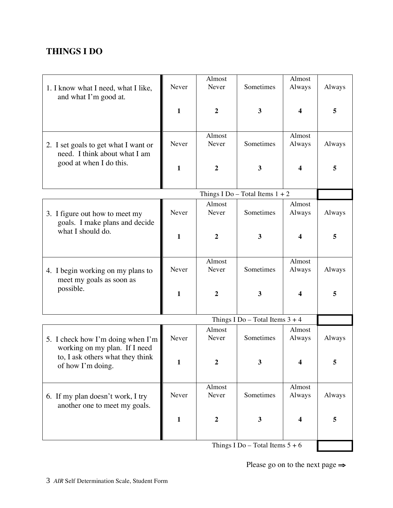# **THINGS I DO**

|                                      | Almost<br>Almost |                  |                                   |        |        |  |
|--------------------------------------|------------------|------------------|-----------------------------------|--------|--------|--|
|                                      |                  |                  |                                   |        |        |  |
| 1. I know what I need, what I like,  | Never            | Never            | Sometimes                         | Always | Always |  |
| and what I'm good at.                |                  |                  |                                   |        |        |  |
|                                      | $\mathbf{1}$     | $\overline{2}$   | 3                                 | 4      | 5      |  |
|                                      |                  |                  |                                   |        |        |  |
|                                      |                  |                  |                                   |        |        |  |
|                                      |                  | Almost           |                                   | Almost |        |  |
|                                      | Never            | Never            | Sometimes                         | Always | Always |  |
| 2. I set goals to get what I want or |                  |                  |                                   |        |        |  |
| need. I think about what I am        |                  |                  |                                   |        |        |  |
| good at when I do this.              | $\mathbf{1}$     | $\overline{2}$   | 3                                 | 4      | 5      |  |
|                                      |                  |                  |                                   |        |        |  |
|                                      |                  |                  |                                   |        |        |  |
|                                      |                  |                  | Things I Do - Total Items $1 + 2$ |        |        |  |
|                                      |                  | Almost           |                                   | Almost |        |  |
| 3. I figure out how to meet my       | Never            | Never            | Sometimes                         | Always | Always |  |
| goals. I make plans and decide       |                  |                  |                                   |        |        |  |
| what I should do.                    |                  |                  |                                   |        |        |  |
|                                      | $\mathbf{1}$     | $\boldsymbol{2}$ | 3                                 | 4      | 5      |  |
|                                      |                  |                  |                                   |        |        |  |
|                                      |                  |                  |                                   |        |        |  |
|                                      |                  | Almost           |                                   | Almost |        |  |
| 4. I begin working on my plans to    | Never            | Never            | Sometimes                         | Always | Always |  |
| meet my goals as soon as             |                  |                  |                                   |        |        |  |
| possible.                            |                  |                  |                                   |        |        |  |
|                                      | $\mathbf{1}$     | $\overline{2}$   | 3                                 | 4      | 5      |  |
|                                      |                  |                  |                                   |        |        |  |
|                                      |                  |                  |                                   |        |        |  |
|                                      |                  |                  | Things I Do – Total Items $3 + 4$ |        |        |  |
|                                      |                  | Almost           |                                   | Almost |        |  |
| 5. I check how I'm doing when I'm    | Never            | Never            | Sometimes                         | Always | Always |  |
| working on my plan. If I need        |                  |                  |                                   |        |        |  |
| to, I ask others what they think     |                  |                  |                                   | 4      |        |  |
| of how I'm doing.                    | 1                | 2                | 3                                 |        | 5      |  |
|                                      |                  |                  |                                   |        |        |  |
|                                      |                  | Almost           |                                   | Almost |        |  |
| 6. If my plan doesn't work, I try    | Never            | Never            | Sometimes                         | Always | Always |  |
|                                      |                  |                  |                                   |        |        |  |
| another one to meet my goals.        |                  |                  |                                   |        |        |  |
|                                      | $\mathbf{1}$     | $\boldsymbol{2}$ | 3                                 | 4      | 5      |  |
|                                      |                  |                  |                                   |        |        |  |
|                                      |                  |                  |                                   |        |        |  |
|                                      |                  |                  | Things I Do - Total Items $5 + 6$ |        |        |  |
|                                      |                  |                  |                                   |        |        |  |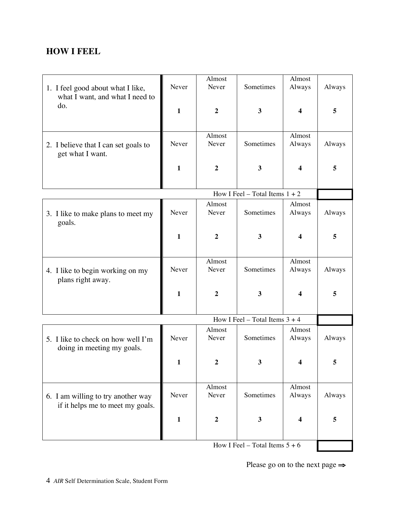### **HOW I FEEL**

| 1. I feel good about what I like,                                      | Never        | Almost<br>Never  | Sometimes                        | Almost<br>Always        | Always |  |
|------------------------------------------------------------------------|--------------|------------------|----------------------------------|-------------------------|--------|--|
| what I want, and what I need to<br>do.                                 | $\mathbf{1}$ | $\boldsymbol{2}$ | 3                                | 4                       | 5      |  |
|                                                                        |              |                  |                                  |                         |        |  |
| 2. I believe that I can set goals to<br>get what I want.               | Never        | Almost<br>Never  | Sometimes                        | Almost<br>Always        | Always |  |
|                                                                        | $\mathbf{1}$ | $\boldsymbol{2}$ | 3                                | 4                       | 5      |  |
| How I Feel – Total Items $1 + 2$                                       |              |                  |                                  |                         |        |  |
| 3. I like to make plans to meet my<br>goals.                           | Never        | Almost<br>Never  | Sometimes                        | Almost<br>Always        | Always |  |
|                                                                        | $\mathbf{1}$ | $\boldsymbol{2}$ | 3                                | 4                       | 5      |  |
| 4. I like to begin working on my<br>plans right away.                  | Never        | Almost<br>Never  | Sometimes                        | Almost<br>Always        | Always |  |
|                                                                        | $\mathbf{1}$ | $\boldsymbol{2}$ | 3                                | 4                       | 5      |  |
| How I Feel – Total Items $3 + 4$                                       |              |                  |                                  |                         |        |  |
| 5. I like to check on how well I'm<br>doing in meeting my goals.       | Never        | Almost<br>Never  | Sometimes                        | Almost<br>Always        | Always |  |
|                                                                        | $\mathbf{1}$ |                  | 3.                               |                         | 5      |  |
| 6. I am willing to try another way<br>if it helps me to meet my goals. | Never        | Almost<br>Never  | Sometimes                        | Almost<br>Always        | Always |  |
|                                                                        | $\mathbf{1}$ | $\boldsymbol{2}$ | $\mathbf{3}$                     | $\overline{\mathbf{4}}$ | 5      |  |
|                                                                        |              |                  | How I Feel – Total Items $5 + 6$ |                         |        |  |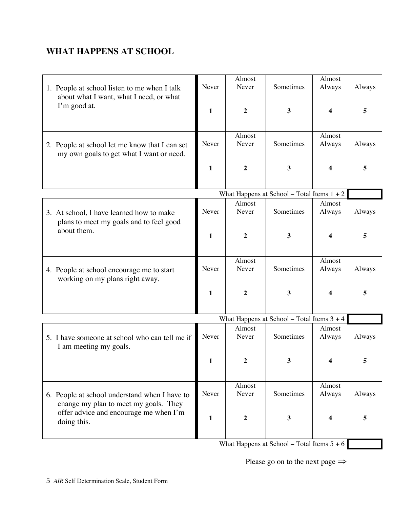# **WHAT HAPPENS AT SCHOOL**

| 1. People at school listen to me when I talk<br>about what I want, what I need, or what                                                         | Never        | Almost<br>Never  | Sometimes                                    | Almost<br>Always       | Always |
|-------------------------------------------------------------------------------------------------------------------------------------------------|--------------|------------------|----------------------------------------------|------------------------|--------|
| I'm good at.                                                                                                                                    | 1            | 2                | 3                                            | 4                      | 5      |
| 2. People at school let me know that I can set<br>my own goals to get what I want or need.                                                      | Never        | Almost<br>Never  | Sometimes                                    | Almost<br>Always       | Always |
|                                                                                                                                                 | $\mathbf{1}$ | $\boldsymbol{2}$ | $\mathbf{3}$                                 | 4                      | 5      |
|                                                                                                                                                 |              |                  | What Happens at School - Total Items $1 + 2$ |                        |        |
| 3. At school, I have learned how to make<br>plans to meet my goals and to feel good<br>about them.                                              | Never        | Almost<br>Never  | Sometimes                                    | Almost<br>Always       | Always |
|                                                                                                                                                 | 1            | $\mathbf{2}$     | $\mathbf{3}$                                 | 4                      | 5      |
| 4. People at school encourage me to start<br>working on my plans right away.                                                                    | Never        | Almost<br>Never  | Sometimes                                    | Almost<br>Always       | Always |
|                                                                                                                                                 | $\mathbf{1}$ | $\boldsymbol{2}$ | $\mathbf{3}$                                 | 4                      | 5      |
|                                                                                                                                                 |              |                  | What Happens at School - Total Items $3 + 4$ |                        |        |
| 5. I have someone at school who can tell me if<br>I am meeting my goals.                                                                        | Never        | Almost<br>Never  | Sometimes                                    | Almost<br>Always       | Always |
|                                                                                                                                                 | 1            | າ                | 3                                            | $\boldsymbol{\Lambda}$ |        |
| 6. People at school understand when I have to<br>change my plan to meet my goals. They<br>offer advice and encourage me when I'm<br>doing this. | Never        | Almost<br>Never  | Sometimes                                    | Almost<br>Always       | Always |
|                                                                                                                                                 | 1            | $\boldsymbol{2}$ | 3                                            | 4                      | 5      |

What Happens at School – Total Items 5 + 6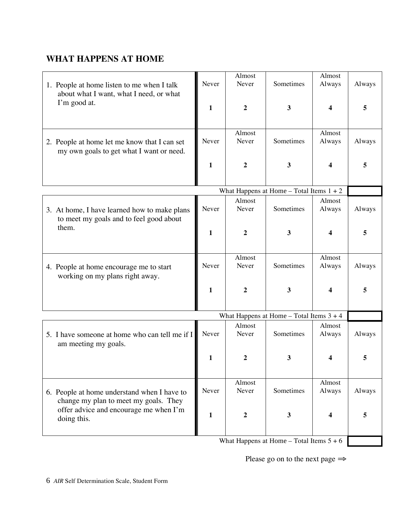# **WHAT HAPPENS AT HOME**

|                                                                                       |                                            | Almost           |              | Almost                 |        |
|---------------------------------------------------------------------------------------|--------------------------------------------|------------------|--------------|------------------------|--------|
| 1. People at home listen to me when I talk<br>about what I want, what I need, or what | Never                                      | Never            | Sometimes    | Always                 | Always |
| I'm good at.                                                                          | $\mathbf{1}$                               | $\overline{2}$   | $\mathbf{3}$ | 4                      | 5      |
|                                                                                       |                                            |                  |              |                        |        |
|                                                                                       |                                            | Almost           |              | Almost                 |        |
| 2. People at home let me know that I can set                                          | Never                                      | Never            | Sometimes    | Always                 | Always |
| my own goals to get what I want or need.                                              |                                            |                  |              |                        |        |
|                                                                                       | $\mathbf{1}$                               | $\boldsymbol{2}$ | $\mathbf{3}$ | 4                      | 5      |
|                                                                                       |                                            |                  |              |                        |        |
| What Happens at Home - Total Items $1 + 2$                                            |                                            |                  |              |                        |        |
|                                                                                       |                                            | Almost           |              | Almost                 |        |
| 3. At home, I have learned how to make plans                                          | Never                                      | Never            | Sometimes    | Always                 | Always |
| to meet my goals and to feel good about                                               |                                            |                  |              |                        |        |
| them.                                                                                 | 1                                          | $\boldsymbol{2}$ | $\mathbf{3}$ | 4                      | 5      |
|                                                                                       |                                            |                  |              |                        |        |
|                                                                                       |                                            | Almost           |              | Almost                 |        |
| 4. People at home encourage me to start                                               | Never                                      | Never            | Sometimes    | Always                 | Always |
| working on my plans right away.                                                       |                                            |                  |              |                        |        |
|                                                                                       | $\mathbf{1}$                               | $\overline{2}$   | 3            | 4                      | 5      |
|                                                                                       |                                            |                  |              |                        |        |
|                                                                                       | What Happens at Home - Total Items $3 + 4$ |                  |              |                        |        |
|                                                                                       |                                            | Almost           |              | Almost                 |        |
| 5. I have someone at home who can tell me if I                                        | Never                                      | Never            | Sometimes    | Always                 | Always |
| am meeting my goals.                                                                  |                                            |                  |              |                        |        |
|                                                                                       | 1                                          |                  |              | $\boldsymbol{\Lambda}$ |        |
|                                                                                       |                                            |                  |              |                        |        |
|                                                                                       |                                            | Almost           |              | Almost                 |        |
| 6. People at home understand when I have to                                           | Never                                      | Never            | Sometimes    | Always                 | Always |
| change my plan to meet my goals. They                                                 |                                            |                  |              |                        |        |
| offer advice and encourage me when I'm                                                | 1                                          | 2                | 3            | 4                      | 5      |
| doing this.                                                                           |                                            |                  |              |                        |        |
|                                                                                       |                                            |                  |              |                        |        |

What Happens at Home – Total Items  $5 + 6$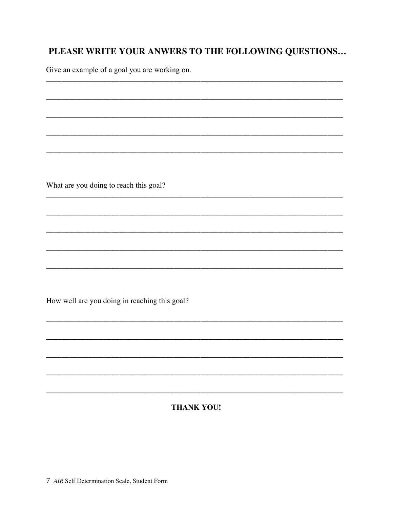# PLEASE WRITE YOUR ANWERS TO THE FOLLOWING QUESTIONS...

Give an example of a goal you are working on.

What are you doing to reach this goal?

How well are you doing in reaching this goal?

#### **THANK YOU!**